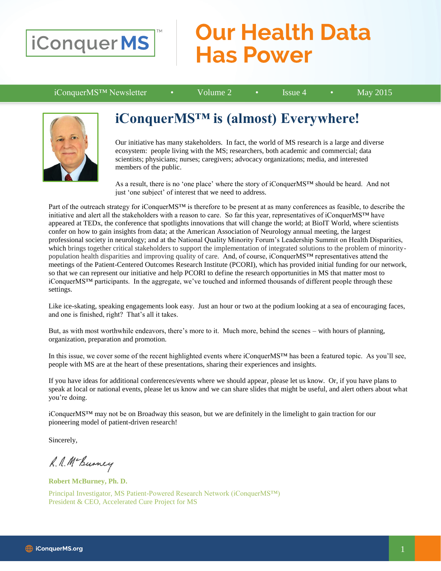

## **Our Health Data Has Power**

iConquerMS™ Newsletter • Volume 2 • Issue 4 • May 2015



### **iConquerMS™ is (almost) Everywhere!**

Our initiative has many stakeholders. In fact, the world of MS research is a large and diverse ecosystem: people living with the MS; researchers, both academic and commercial; data scientists; physicians; nurses; caregivers; advocacy organizations; media, and interested members of the public.

As a result, there is no 'one place' where the story of iConquerMS™ should be heard. And not just 'one subject' of interest that we need to address.

Part of the outreach strategy for iConquerMS™ is therefore to be present at as many conferences as feasible, to describe the initiative and alert all the stakeholders with a reason to care. So far this year, representatives of iConquerMS™ have appeared at TEDx, the conference that spotlights innovations that will change the world; at BioIT World, where scientists confer on how to gain insights from data; at the American Association of Neurology annual meeting, the largest professional society in neurology; and at the National Quality Minority Forum's Leadership Summit on Health Disparities, which brings together critical stakeholders to support the implementation of integrated solutions to the problem of minoritypopulation health disparities and improving quality of care. And, of course, iConquerMS™ representatives attend the meetings of the Patient-Centered Outcomes Research Institute (PCORI), which has provided initial funding for our network, so that we can represent our initiative and help PCORI to define the research opportunities in MS that matter most to iConquerMS™ participants. In the aggregate, we've touched and informed thousands of different people through these settings.

Like ice-skating, speaking engagements look easy. Just an hour or two at the podium looking at a sea of encouraging faces, and one is finished, right? That's all it takes.

But, as with most worthwhile endeavors, there's more to it. Much more, behind the scenes – with hours of planning, organization, preparation and promotion.

In this issue, we cover some of the recent highlighted events where iConquerMS™ has been a featured topic. As you'll see, people with MS are at the heart of these presentations, sharing their experiences and insights.

If you have ideas for additional conferences/events where we should appear, please let us know. Or, if you have plans to speak at local or national events, please let us know and we can share slides that might be useful, and alert others about what you're doing.

iConquerMS™ may not be on Broadway this season, but we are definitely in the limelight to gain traction for our pioneering model of patient-driven research!

Sincerely,

L. A. Mc Burney

**Robert McBurney, Ph. D.**

Principal Investigator, MS Patient-Powered Research Network (iConquerMS™) President & CEO, Accelerated Cure Project for MS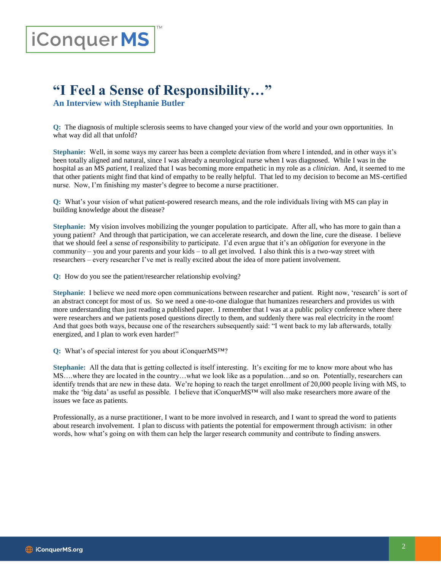# iConquerMS

## **"I Feel a Sense of Responsibility…"**

**An Interview with Stephanie Butler**

**Q:** The diagnosis of multiple sclerosis seems to have changed your view of the world and your own opportunities. In what way did all that unfold?

**Stephanie:** Well, in some ways my career has been a complete deviation from where I intended, and in other ways it's been totally aligned and natural, since I was already a neurological nurse when I was diagnosed. While I was in the hospital as an MS *patient*, I realized that I was becoming more empathetic in my role as a *clinician*. And, it seemed to me that other patients might find that kind of empathy to be really helpful. That led to my decision to become an MS-certified nurse. Now, I'm finishing my master's degree to become a nurse practitioner.

**Q:** What's your vision of what patient-powered research means, and the role individuals living with MS can play in building knowledge about the disease?

**Stephanie:** My vision involves mobilizing the younger population to participate. After all, who has more to gain than a young patient? And through that participation, we can accelerate research, and down the line, cure the disease. I believe that we should feel a sense of responsibility to participate. I'd even argue that it's an *obligation* for everyone in the community – you and your parents and your kids – to all get involved. I also think this is a two-way street with researchers – every researcher I've met is really excited about the idea of more patient involvement.

**Q:** How do you see the patient/researcher relationship evolving?

**Stephanie**: I believe we need more open communications between researcher and patient. Right now, 'research' is sort of an abstract concept for most of us. So we need a one-to-one dialogue that humanizes researchers and provides us with more understanding than just reading a published paper. I remember that I was at a public policy conference where there were researchers and we patients posed questions directly to them, and suddenly there was real electricity in the room! And that goes both ways, because one of the researchers subsequently said: "I went back to my lab afterwards, totally energized, and I plan to work even harder!"

**Q:** What's of special interest for you about iConquerMS™?

**Stephanie:** All the data that is getting collected is itself interesting. It's exciting for me to know more about who has MS….where they are located in the country…what we look like as a population…and so on. Potentially, researchers can identify trends that are new in these data. We're hoping to reach the target enrollment of 20,000 people living with MS, to make the 'big data' as useful as possible. I believe that iConquerMS™ will also make researchers more aware of the issues we face as patients.

Professionally, as a nurse practitioner, I want to be more involved in research, and I want to spread the word to patients about research involvement. I plan to discuss with patients the potential for empowerment through activism: in other words, how what's going on with them can help the larger research community and contribute to finding answers.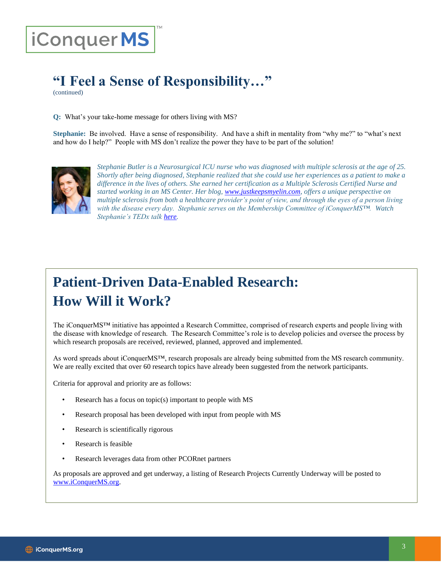# iConquerMS

## **"I Feel a Sense of Responsibility…"**

(continued)

**Q:** What's your take-home message for others living with MS?

**Stephanie:** Be involved. Have a sense of responsibility. And have a shift in mentality from "why me?" to "what's next and how do I help?" People with MS don't realize the power they have to be part of the solution!



*Stephanie Butler is a Neurosurgical ICU nurse who was diagnosed with multiple sclerosis at the age of 25. Shortly after being diagnosed, Stephanie realized that she could use her experiences as a patient to make a difference in the lives of others. She earned her certification as a Multiple Sclerosis Certified Nurse and started working in an MS Center. Her blog, [www.justkeepsmyelin.com,](www.justkeepsmyelin.com) offers a unique perspective on multiple sclerosis from both a healthcare provider's point of view, and through the eyes of a person living with the disease every day. Stephanie serves on the Membership Committee of iConquerMS™. Watch Stephanie's TEDx talk [here.](https://www.youtube.com/watch?v=zuLOT6GsAxw)*

## **Patient-Driven Data-Enabled Research: How Will it Work?**

The iConquerMS™ initiative has appointed a Research Committee, comprised of research experts and people living with the disease with knowledge of research. The Research Committee's role is to develop policies and oversee the process by which research proposals are received, reviewed, planned, approved and implemented.

As word spreads about iConquerMS™, research proposals are already being submitted from the MS research community. We are really excited that over 60 research topics have already been suggested from the network participants.

Criteria for approval and priority are as follows:

- Research has a focus on topic $(s)$  important to people with MS
- Research proposal has been developed with input from people with MS
- Research is scientifically rigorous
- Research is feasible
- Research leverages data from other PCORnet partners

As proposals are approved and get underway, a listing of Research Projects Currently Underway will be posted to [www.iConquerMS.org.](http://www.iconquerms.org/)